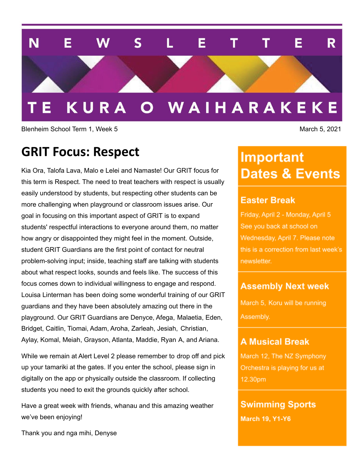#### N E  $\mathbf S$ Е R  $\mathbf{L}$ Т Е т KURA O WAIHARAKEKE

Blenheim School Term 1, Week 5 March 5, 2021

### **GRIT Focus: Respect**

Kia Ora, Talofa Lava, Malo e Lelei and Namaste! Our GRIT focus for this term is Respect. The need to treat teachers with respect is usually easily understood by students, but respecting other students can be more challenging when playground or classroom issues arise. Our goal in focusing on this important aspect of GRIT is to expand students' respectful interactions to everyone around them, no matter how angry or disappointed they might feel in the moment. Outside, student GRIT Guardians are the first point of contact for neutral problem-solving input; inside, teaching staff are talking with students about what respect looks, sounds and feels like. The success of this focus comes down to individual willingness to engage and respond. Louisa Linterman has been doing some wonderful training of our GRIT guardians and they have been absolutely amazing out there in the playground. Our GRIT Guardians are Denyce, Afega, Malaetia, Eden, Bridget, Caitlin, Tiomai, Adam, Aroha, Zarleah, Jesiah, Christian, Aylay, Komal, Meiah, Grayson, Atlanta, Maddie, Ryan A, and Ariana.

While we remain at Alert Level 2 please remember to drop off and pick up your tamariki at the gates. If you enter the school, please sign in digitally on the app or physically outside the classroom. If collecting students you need to exit the grounds quickly after school.

Have a great week with friends, whanau and this amazing weather we've been enjoying!

Thank you and nga mihi, Denyse

# **Important Dates & Events**

### **Easter Break**

Friday, April 2 - Monday, April 5 See you back at school on Wednesday, April 7. Please note this is a correction from last week's newsletter.

### **Assembly Next week**

March 5, Koru will be running Assembly.

### **A Musical Break**

March 12, The NZ Symphony Orchestra is playing for us at 12.30pm

### **Swimming Sports**

**March 19, Y1-Y6**